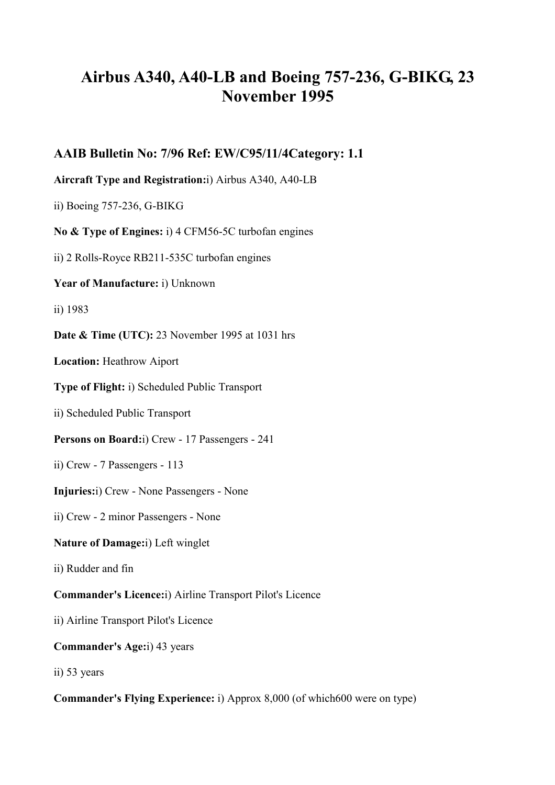# **Airbus A340, A40-LB and Boeing 757-236, G-BIKG, 23 November 1995**

**AAIB Bulletin No: 7/96 Ref: EW/C95/11/4Category: 1.1** 

**Aircraft Type and Registration:**i) Airbus A340, A40-LB

ii) Boeing 757-236, G-BIKG

**No & Type of Engines:** i) 4 CFM56-5C turbofan engines

ii) 2 Rolls-Royce RB211-535C turbofan engines

**Year of Manufacture:** i) Unknown

ii) 1983

**Date & Time (UTC):** 23 November 1995 at 1031 hrs

**Location:** Heathrow Aiport

**Type of Flight:** i) Scheduled Public Transport

ii) Scheduled Public Transport

**Persons on Board:**i) Crew - 17 Passengers - 241

ii) Crew - 7 Passengers - 113

**Injuries:**i) Crew - None Passengers - None

ii) Crew - 2 minor Passengers - None

## **Nature of Damage:**i) Left winglet

ii) Rudder and fin

**Commander's Licence:**i) Airline Transport Pilot's Licence

ii) Airline Transport Pilot's Licence

**Commander's Age:**i) 43 years

ii) 53 years

**Commander's Flying Experience:** i) Approx 8,000 (of which600 were on type)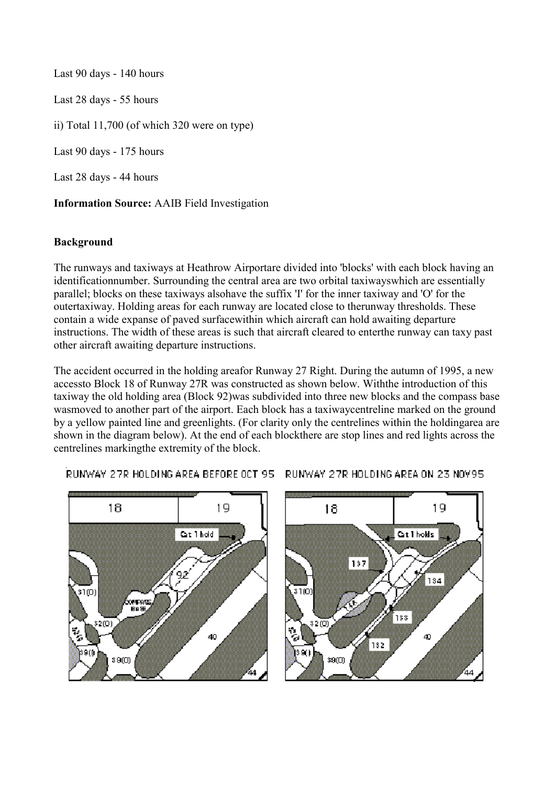Last 90 days - 140 hours Last 28 days - 55 hours ii) Total 11,700 (of which 320 were on type) Last 90 days - 175 hours Last 28 days - 44 hours

**Information Source:** AAIB Field Investigation

### **Background**

The runways and taxiways at Heathrow Airportare divided into 'blocks' with each block having an identificationnumber. Surrounding the central area are two orbital taxiwayswhich are essentially parallel; blocks on these taxiways alsohave the suffix 'I' for the inner taxiway and 'O' for the outertaxiway. Holding areas for each runway are located close to therunway thresholds. These contain a wide expanse of paved surfacewithin which aircraft can hold awaiting departure instructions. The width of these areas is such that aircraft cleared to enterthe runway can taxy past other aircraft awaiting departure instructions.

The accident occurred in the holding areafor Runway 27 Right. During the autumn of 1995, a new accessto Block 18 of Runway 27R was constructed as shown below. Withthe introduction of this taxiway the old holding area (Block 92)was subdivided into three new blocks and the compass base wasmoved to another part of the airport. Each block has a taxiwaycentreline marked on the ground by a yellow painted line and greenlights. (For clarity only the centrelines within the holdingarea are shown in the diagram below). At the end of each blockthere are stop lines and red lights across the centrelines markingthe extremity of the block.



#### RUNWAY 27R HOLDING AREA BEFORE OCT 95 RUNWAY 27R HOLDING AREA ON 23 NOV95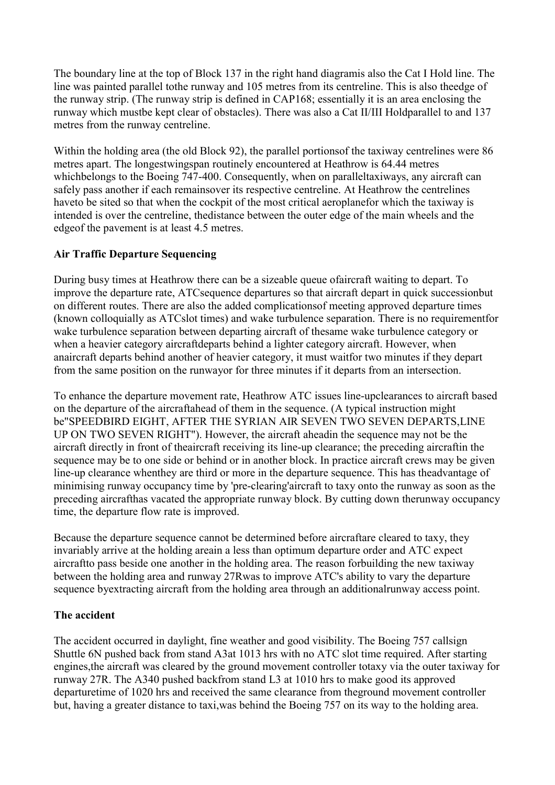The boundary line at the top of Block 137 in the right hand diagramis also the Cat I Hold line. The line was painted parallel tothe runway and 105 metres from its centreline. This is also theedge of the runway strip. (The runway strip is defined in CAP168; essentially it is an area enclosing the runway which mustbe kept clear of obstacles). There was also a Cat II/III Holdparallel to and 137 metres from the runway centreline.

Within the holding area (the old Block 92), the parallel portionsof the taxiway centrelines were 86 metres apart. The longestwingspan routinely encountered at Heathrow is 64.44 metres whichbelongs to the Boeing 747-400. Consequently, when on paralleltaxiways, any aircraft can safely pass another if each remainsover its respective centreline. At Heathrow the centrelines haveto be sited so that when the cockpit of the most critical aeroplanefor which the taxiway is intended is over the centreline, thedistance between the outer edge of the main wheels and the edgeof the pavement is at least 4.5 metres.

#### **Air Traffic Departure Sequencing**

During busy times at Heathrow there can be a sizeable queue ofaircraft waiting to depart. To improve the departure rate, ATCsequence departures so that aircraft depart in quick successionbut on different routes. There are also the added complicationsof meeting approved departure times (known colloquially as ATCslot times) and wake turbulence separation. There is no requirementfor wake turbulence separation between departing aircraft of thesame wake turbulence category or when a heavier category aircraftdeparts behind a lighter category aircraft. However, when anaircraft departs behind another of heavier category, it must waitfor two minutes if they depart from the same position on the runwayor for three minutes if it departs from an intersection.

To enhance the departure movement rate, Heathrow ATC issues line-upclearances to aircraft based on the departure of the aircraftahead of them in the sequence. (A typical instruction might be"SPEEDBIRD EIGHT, AFTER THE SYRIAN AIR SEVEN TWO SEVEN DEPARTS,LINE UP ON TWO SEVEN RIGHT"). However, the aircraft aheadin the sequence may not be the aircraft directly in front of theaircraft receiving its line-up clearance; the preceding aircraftin the sequence may be to one side or behind or in another block. In practice aircraft crews may be given line-up clearance whenthey are third or more in the departure sequence. This has theadvantage of minimising runway occupancy time by 'pre-clearing'aircraft to taxy onto the runway as soon as the preceding aircrafthas vacated the appropriate runway block. By cutting down therunway occupancy time, the departure flow rate is improved.

Because the departure sequence cannot be determined before aircraftare cleared to taxy, they invariably arrive at the holding areain a less than optimum departure order and ATC expect aircraftto pass beside one another in the holding area. The reason forbuilding the new taxiway between the holding area and runway 27Rwas to improve ATC's ability to vary the departure sequence byextracting aircraft from the holding area through an additionalrunway access point.

#### **The accident**

The accident occurred in daylight, fine weather and good visibility. The Boeing 757 callsign Shuttle 6N pushed back from stand A3at 1013 hrs with no ATC slot time required. After starting engines,the aircraft was cleared by the ground movement controller totaxy via the outer taxiway for runway 27R. The A340 pushed backfrom stand L3 at 1010 hrs to make good its approved departuretime of 1020 hrs and received the same clearance from theground movement controller but, having a greater distance to taxi,was behind the Boeing 757 on its way to the holding area.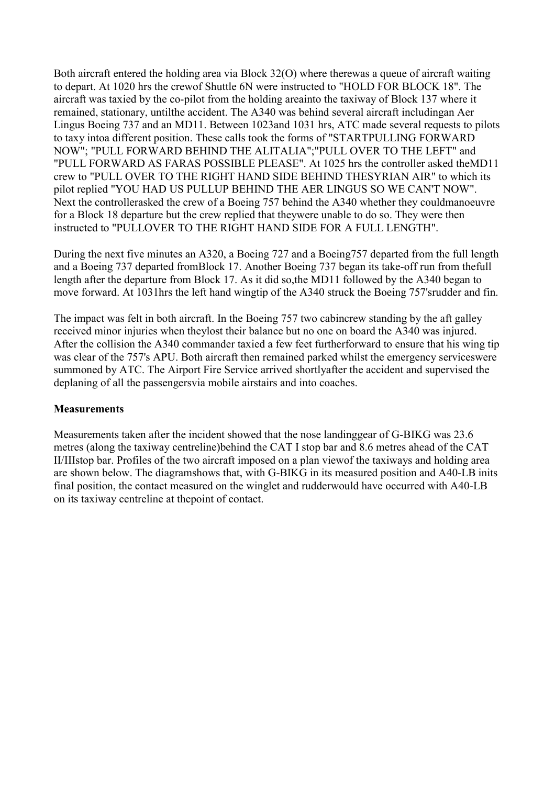Both aircraft entered the holding area via Block 32(O) where therewas a queue of aircraft waiting to depart. At 1020 hrs the crewof Shuttle 6N were instructed to "HOLD FOR BLOCK 18". The aircraft was taxied by the co-pilot from the holding areainto the taxiway of Block 137 where it remained, stationary, untilthe accident. The A340 was behind several aircraft includingan Aer Lingus Boeing 737 and an MD11. Between 1023and 1031 hrs, ATC made several requests to pilots to taxy intoa different position. These calls took the forms of "STARTPULLING FORWARD NOW"; "PULL FORWARD BEHIND THE ALITALIA";"PULL OVER TO THE LEFT" and "PULL FORWARD AS FARAS POSSIBLE PLEASE". At 1025 hrs the controller asked theMD11 crew to "PULL OVER TO THE RIGHT HAND SIDE BEHIND THESYRIAN AIR" to which its pilot replied "YOU HAD US PULLUP BEHIND THE AER LINGUS SO WE CAN'T NOW". Next the controllerasked the crew of a Boeing 757 behind the A340 whether they couldmanoeuvre for a Block 18 departure but the crew replied that theywere unable to do so. They were then instructed to "PULLOVER TO THE RIGHT HAND SIDE FOR A FULL LENGTH".

During the next five minutes an A320, a Boeing 727 and a Boeing757 departed from the full length and a Boeing 737 departed fromBlock 17. Another Boeing 737 began its take-off run from thefull length after the departure from Block 17. As it did so,the MD11 followed by the A340 began to move forward. At 1031hrs the left hand wingtip of the A340 struck the Boeing 757'srudder and fin.

The impact was felt in both aircraft. In the Boeing 757 two cabincrew standing by the aft galley received minor injuries when theylost their balance but no one on board the A340 was injured. After the collision the A340 commander taxied a few feet furtherforward to ensure that his wing tip was clear of the 757's APU. Both aircraft then remained parked whilst the emergency serviceswere summoned by ATC. The Airport Fire Service arrived shortlyafter the accident and supervised the deplaning of all the passengersvia mobile airstairs and into coaches.

#### **Measurements**

Measurements taken after the incident showed that the nose landinggear of G-BIKG was 23.6 metres (along the taxiway centreline)behind the CAT I stop bar and 8.6 metres ahead of the CAT II/IIIstop bar. Profiles of the two aircraft imposed on a plan viewof the taxiways and holding area are shown below. The diagramshows that, with G-BIKG in its measured position and A40-LB inits final position, the contact measured on the winglet and rudderwould have occurred with A40-LB on its taxiway centreline at thepoint of contact.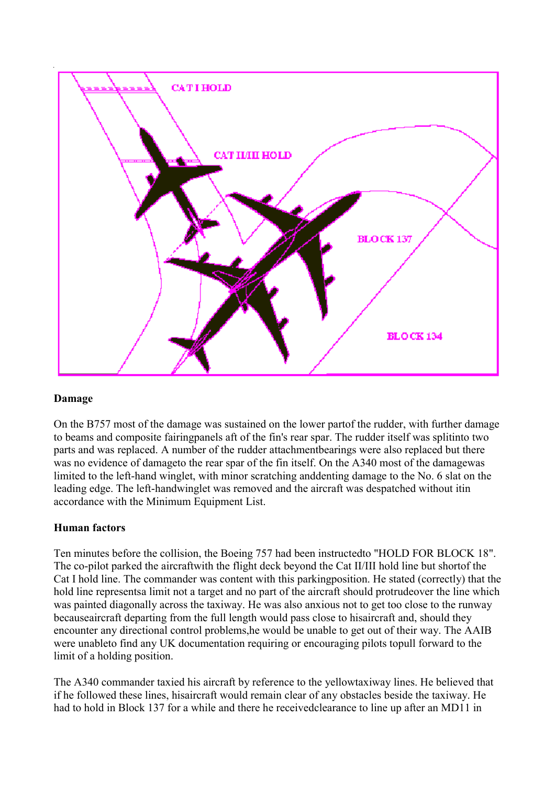

#### **Damage**

On the B757 most of the damage was sustained on the lower partof the rudder, with further damage to beams and composite fairingpanels aft of the fin's rear spar. The rudder itself was splitinto two parts and was replaced. A number of the rudder attachmentbearings were also replaced but there was no evidence of damageto the rear spar of the fin itself. On the A340 most of the damagewas limited to the left-hand winglet, with minor scratching anddenting damage to the No. 6 slat on the leading edge. The left-handwinglet was removed and the aircraft was despatched without itin accordance with the Minimum Equipment List.

#### **Human factors**

Ten minutes before the collision, the Boeing 757 had been instructedto "HOLD FOR BLOCK 18". The co-pilot parked the aircraftwith the flight deck beyond the Cat II/III hold line but shortof the Cat I hold line. The commander was content with this parkingposition. He stated (correctly) that the hold line representsa limit not a target and no part of the aircraft should protrudeover the line which was painted diagonally across the taxiway. He was also anxious not to get too close to the runway becauseaircraft departing from the full length would pass close to hisaircraft and, should they encounter any directional control problems,he would be unable to get out of their way. The AAIB were unableto find any UK documentation requiring or encouraging pilots topull forward to the limit of a holding position.

The A340 commander taxied his aircraft by reference to the yellowtaxiway lines. He believed that if he followed these lines, hisaircraft would remain clear of any obstacles beside the taxiway. He had to hold in Block 137 for a while and there he receivedclearance to line up after an MD11 in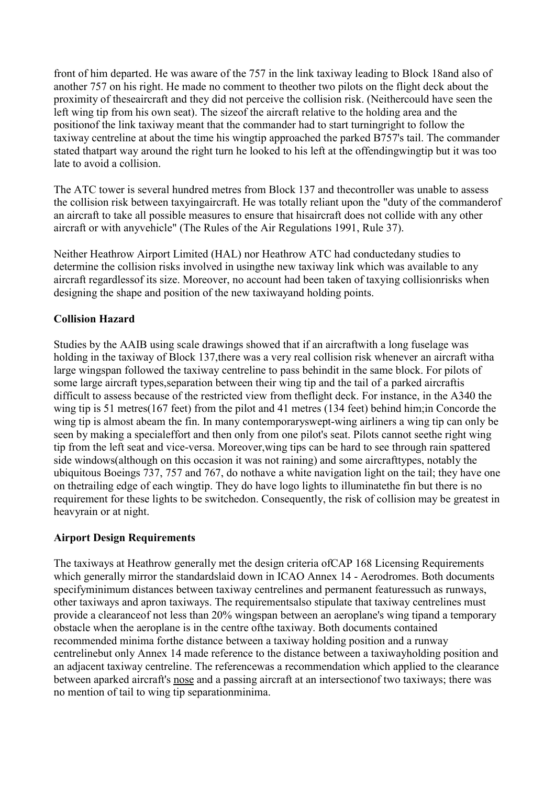front of him departed. He was aware of the 757 in the link taxiway leading to Block 18and also of another 757 on his right. He made no comment to theother two pilots on the flight deck about the proximity of theseaircraft and they did not perceive the collision risk. (Neithercould have seen the left wing tip from his own seat). The sizeof the aircraft relative to the holding area and the positionof the link taxiway meant that the commander had to start turningright to follow the taxiway centreline at about the time his wingtip approached the parked B757's tail. The commander stated thatpart way around the right turn he looked to his left at the offendingwingtip but it was too late to avoid a collision.

The ATC tower is several hundred metres from Block 137 and thecontroller was unable to assess the collision risk between taxyingaircraft. He was totally reliant upon the "duty of the commanderof an aircraft to take all possible measures to ensure that hisaircraft does not collide with any other aircraft or with anyvehicle" (The Rules of the Air Regulations 1991, Rule 37).

Neither Heathrow Airport Limited (HAL) nor Heathrow ATC had conductedany studies to determine the collision risks involved in usingthe new taxiway link which was available to any aircraft regardlessof its size. Moreover, no account had been taken of taxying collisionrisks when designing the shape and position of the new taxiwayand holding points.

#### **Collision Hazard**

Studies by the AAIB using scale drawings showed that if an aircraftwith a long fuselage was holding in the taxiway of Block 137, there was a very real collision risk whenever an aircraft witha large wingspan followed the taxiway centreline to pass behindit in the same block. For pilots of some large aircraft types,separation between their wing tip and the tail of a parked aircraftis difficult to assess because of the restricted view from theflight deck. For instance, in the A340 the wing tip is 51 metres(167 feet) from the pilot and 41 metres (134 feet) behind him;in Concorde the wing tip is almost abeam the fin. In many contemporaryswept-wing airliners a wing tip can only be seen by making a specialeffort and then only from one pilot's seat. Pilots cannot seethe right wing tip from the left seat and vice-versa. Moreover,wing tips can be hard to see through rain spattered side windows(although on this occasion it was not raining) and some aircrafttypes, notably the ubiquitous Boeings 737, 757 and 767, do nothave a white navigation light on the tail; they have one on thetrailing edge of each wingtip. They do have logo lights to illuminatethe fin but there is no requirement for these lights to be switchedon. Consequently, the risk of collision may be greatest in heavyrain or at night.

#### **Airport Design Requirements**

The taxiways at Heathrow generally met the design criteria ofCAP 168 Licensing Requirements which generally mirror the standardslaid down in ICAO Annex 14 - Aerodromes. Both documents specifyminimum distances between taxiway centrelines and permanent featuressuch as runways, other taxiways and apron taxiways. The requirementsalso stipulate that taxiway centrelines must provide a clearanceof not less than 20% wingspan between an aeroplane's wing tipand a temporary obstacle when the aeroplane is in the centre ofthe taxiway. Both documents contained recommended minima forthe distance between a taxiway holding position and a runway centrelinebut only Annex 14 made reference to the distance between a taxiwayholding position and an adjacent taxiway centreline. The referencewas a recommendation which applied to the clearance between aparked aircraft's nose and a passing aircraft at an intersectionof two taxiways; there was no mention of tail to wing tip separationminima.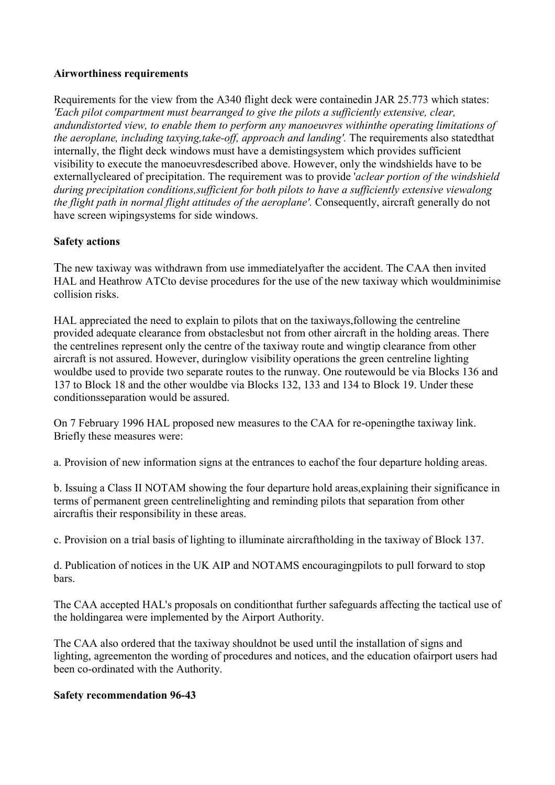#### **Airworthiness requirements**

Requirements for the view from the A340 flight deck were containedin JAR 25.773 which states: *'Each pilot compartment must bearranged to give the pilots a sufficiently extensive, clear, andundistorted view, to enable them to perform any manoeuvres withinthe operating limitations of the aeroplane, including taxying,take-off, approach and landing'.* The requirements also statedthat internally, the flight deck windows must have a demistingsystem which provides sufficient visibility to execute the manoeuvresdescribed above. However, only the windshields have to be externallycleared of precipitation. The requirement was to provide '*aclear portion of the windshield during precipitation conditions,sufficient for both pilots to have a sufficiently extensive viewalong the flight path in normal flight attitudes of the aeroplane'.* Consequently, aircraft generally do not have screen wipingsystems for side windows.

#### **Safety actions**

The new taxiway was withdrawn from use immediatelyafter the accident. The CAA then invited HAL and Heathrow ATCto devise procedures for the use of the new taxiway which wouldminimise collision risks.

HAL appreciated the need to explain to pilots that on the taxiways,following the centreline provided adequate clearance from obstaclesbut not from other aircraft in the holding areas. There the centrelines represent only the centre of the taxiway route and wingtip clearance from other aircraft is not assured. However, duringlow visibility operations the green centreline lighting wouldbe used to provide two separate routes to the runway. One routewould be via Blocks 136 and 137 to Block 18 and the other wouldbe via Blocks 132, 133 and 134 to Block 19. Under these conditionsseparation would be assured.

On 7 February 1996 HAL proposed new measures to the CAA for re-openingthe taxiway link. Briefly these measures were:

a. Provision of new information signs at the entrances to eachof the four departure holding areas.

b. Issuing a Class II NOTAM showing the four departure hold areas,explaining their significance in terms of permanent green centrelinelighting and reminding pilots that separation from other aircraftis their responsibility in these areas.

c. Provision on a trial basis of lighting to illuminate aircraftholding in the taxiway of Block 137.

d. Publication of notices in the UK AIP and NOTAMS encouragingpilots to pull forward to stop bars.

The CAA accepted HAL's proposals on conditionthat further safeguards affecting the tactical use of the holdingarea were implemented by the Airport Authority.

The CAA also ordered that the taxiway shouldnot be used until the installation of signs and lighting, agreementon the wording of procedures and notices, and the education ofairport users had been co-ordinated with the Authority.

#### **Safety recommendation 96-43**